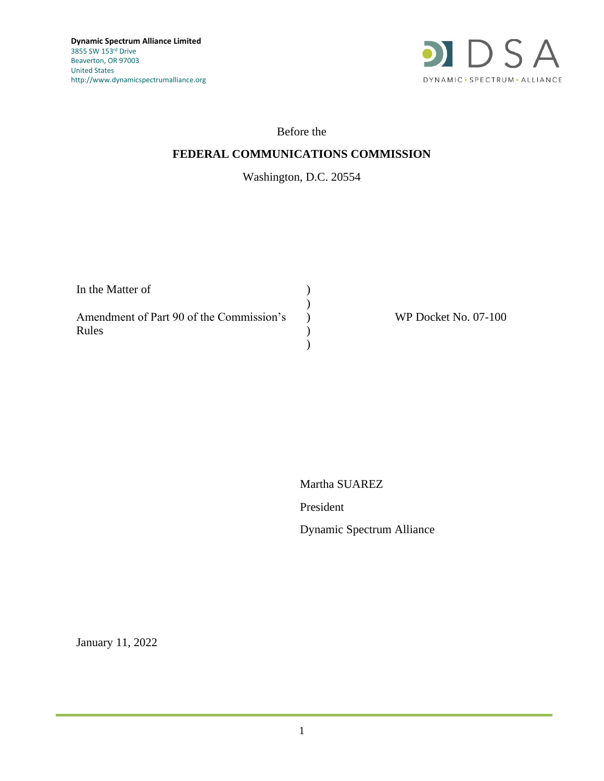

### Before the

## **FEDERAL COMMUNICATIONS COMMISSION**

# Washington, D.C. 20554

| In the Matter of                         |  |
|------------------------------------------|--|
| Amendment of Part 90 of the Commission's |  |
| Rules                                    |  |
|                                          |  |

WP Docket No. 07-100

Martha SUAREZ

President

Dynamic Spectrum Alliance

January 11, 2022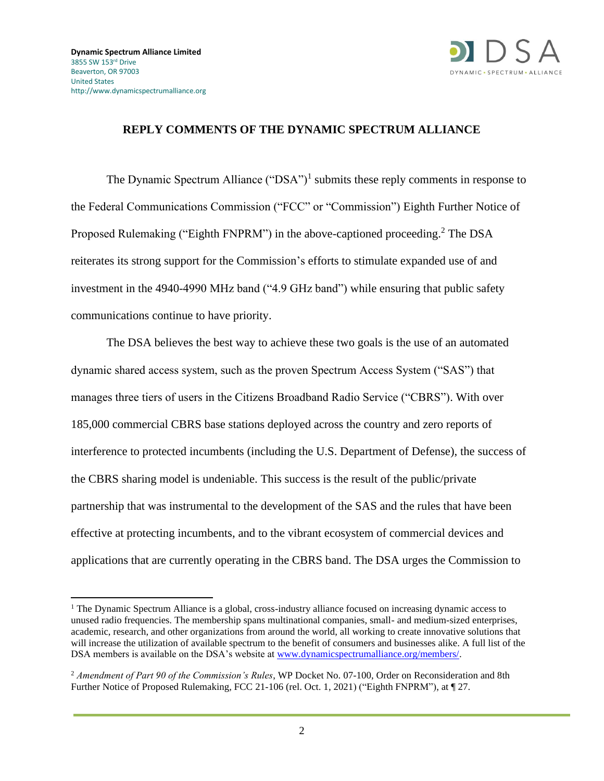

### **REPLY COMMENTS OF THE DYNAMIC SPECTRUM ALLIANCE**

The Dynamic Spectrum Alliance  $("DSA")^1$  submits these reply comments in response to the Federal Communications Commission ("FCC" or "Commission") Eighth Further Notice of Proposed Rulemaking ("Eighth FNPRM") in the above-captioned proceeding.<sup>2</sup> The DSA reiterates its strong support for the Commission's efforts to stimulate expanded use of and investment in the 4940-4990 MHz band ("4.9 GHz band") while ensuring that public safety communications continue to have priority.

The DSA believes the best way to achieve these two goals is the use of an automated dynamic shared access system, such as the proven Spectrum Access System ("SAS") that manages three tiers of users in the Citizens Broadband Radio Service ("CBRS"). With over 185,000 commercial CBRS base stations deployed across the country and zero reports of interference to protected incumbents (including the U.S. Department of Defense), the success of the CBRS sharing model is undeniable. This success is the result of the public/private partnership that was instrumental to the development of the SAS and the rules that have been effective at protecting incumbents, and to the vibrant ecosystem of commercial devices and applications that are currently operating in the CBRS band. The DSA urges the Commission to

<sup>1</sup> The Dynamic Spectrum Alliance is a global, cross-industry alliance focused on increasing dynamic access to unused radio frequencies. The membership spans multinational companies, small- and medium-sized enterprises, academic, research, and other organizations from around the world, all working to create innovative solutions that will increase the utilization of available spectrum to the benefit of consumers and businesses alike. A full list of the DSA members is available on the DSA's website at [www.dynamicspectrumalliance.org/members/.](http://www.dynamicspectrumalliance.org/members/)

<sup>2</sup> *Amendment of Part 90 of the Commission's Rules*, WP Docket No. 07-100, Order on Reconsideration and 8th Further Notice of Proposed Rulemaking, FCC 21-106 (rel. Oct. 1, 2021) ("Eighth FNPRM"), at ¶ 27.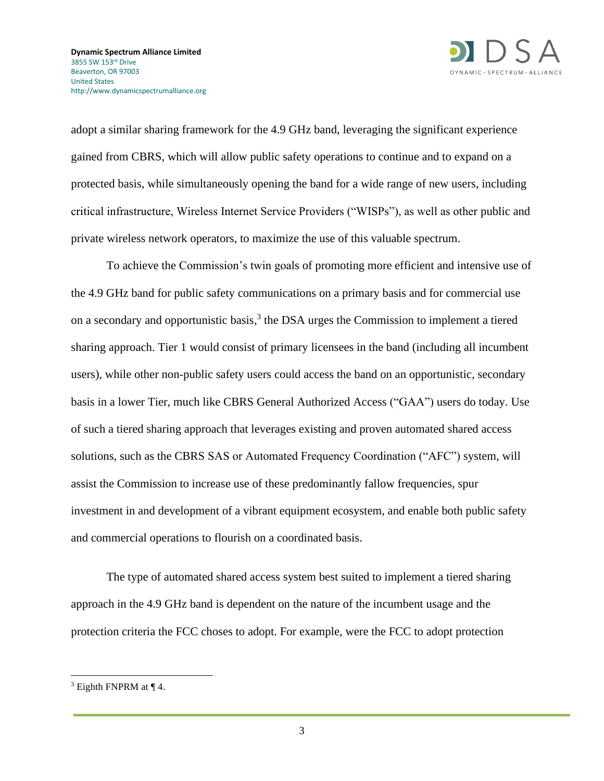



adopt a similar sharing framework for the 4.9 GHz band, leveraging the significant experience gained from CBRS, which will allow public safety operations to continue and to expand on a protected basis, while simultaneously opening the band for a wide range of new users, including critical infrastructure, Wireless Internet Service Providers ("WISPs"), as well as other public and private wireless network operators, to maximize the use of this valuable spectrum.

To achieve the Commission's twin goals of promoting more efficient and intensive use of the 4.9 GHz band for public safety communications on a primary basis and for commercial use on a secondary and opportunistic basis,<sup>3</sup> the DSA urges the Commission to implement a tiered sharing approach. Tier 1 would consist of primary licensees in the band (including all incumbent users), while other non-public safety users could access the band on an opportunistic, secondary basis in a lower Tier, much like CBRS General Authorized Access ("GAA") users do today. Use of such a tiered sharing approach that leverages existing and proven automated shared access solutions, such as the CBRS SAS or Automated Frequency Coordination ("AFC") system, will assist the Commission to increase use of these predominantly fallow frequencies, spur investment in and development of a vibrant equipment ecosystem, and enable both public safety and commercial operations to flourish on a coordinated basis.

The type of automated shared access system best suited to implement a tiered sharing approach in the 4.9 GHz band is dependent on the nature of the incumbent usage and the protection criteria the FCC choses to adopt. For example, were the FCC to adopt protection

 $3$  Eighth FNPRM at  $\P$  4.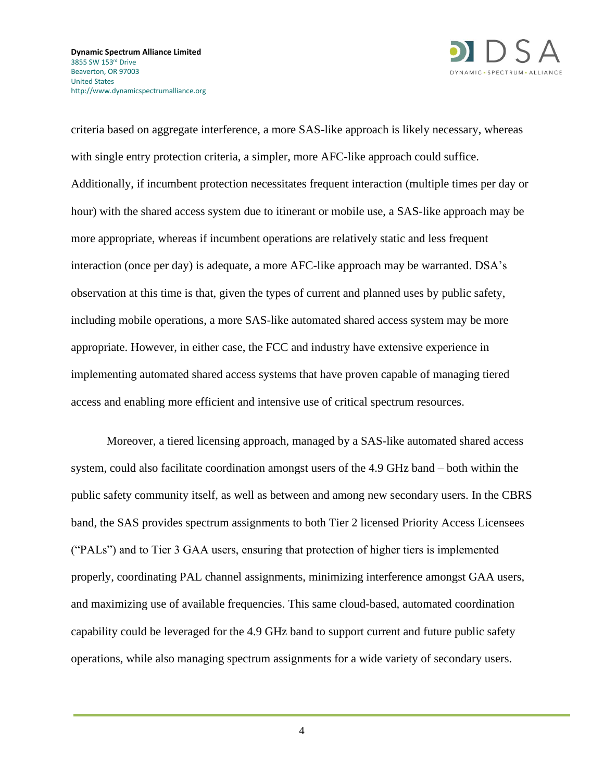

criteria based on aggregate interference, a more SAS-like approach is likely necessary, whereas with single entry protection criteria, a simpler, more AFC-like approach could suffice. Additionally, if incumbent protection necessitates frequent interaction (multiple times per day or hour) with the shared access system due to itinerant or mobile use, a SAS-like approach may be more appropriate, whereas if incumbent operations are relatively static and less frequent interaction (once per day) is adequate, a more AFC-like approach may be warranted. DSA's observation at this time is that, given the types of current and planned uses by public safety, including mobile operations, a more SAS-like automated shared access system may be more appropriate. However, in either case, the FCC and industry have extensive experience in implementing automated shared access systems that have proven capable of managing tiered access and enabling more efficient and intensive use of critical spectrum resources.

Moreover, a tiered licensing approach, managed by a SAS-like automated shared access system, could also facilitate coordination amongst users of the 4.9 GHz band – both within the public safety community itself, as well as between and among new secondary users. In the CBRS band, the SAS provides spectrum assignments to both Tier 2 licensed Priority Access Licensees ("PALs") and to Tier 3 GAA users, ensuring that protection of higher tiers is implemented properly, coordinating PAL channel assignments, minimizing interference amongst GAA users, and maximizing use of available frequencies. This same cloud-based, automated coordination capability could be leveraged for the 4.9 GHz band to support current and future public safety operations, while also managing spectrum assignments for a wide variety of secondary users.

4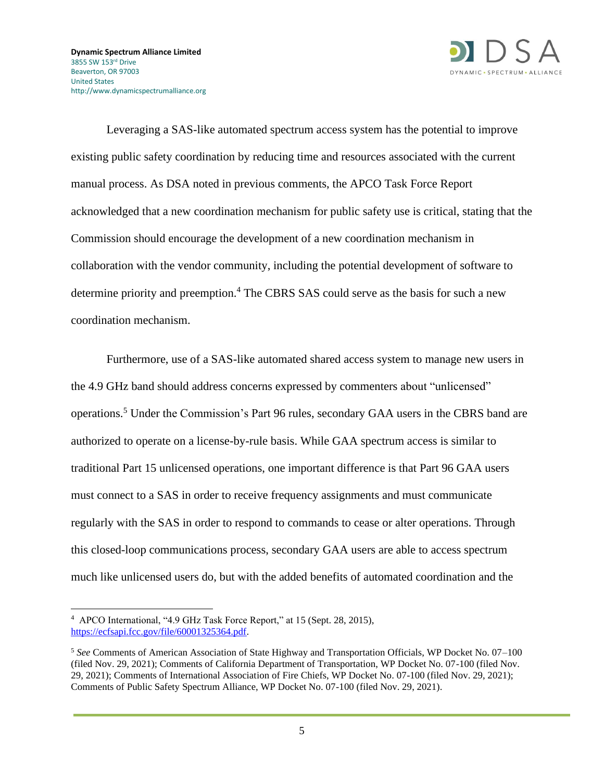

Leveraging a SAS-like automated spectrum access system has the potential to improve existing public safety coordination by reducing time and resources associated with the current manual process. As DSA noted in previous comments, the APCO Task Force Report acknowledged that a new coordination mechanism for public safety use is critical, stating that the Commission should encourage the development of a new coordination mechanism in collaboration with the vendor community, including the potential development of software to determine priority and preemption. <sup>4</sup> The CBRS SAS could serve as the basis for such a new coordination mechanism.

Furthermore, use of a SAS-like automated shared access system to manage new users in the 4.9 GHz band should address concerns expressed by commenters about "unlicensed" operations.<sup>5</sup> Under the Commission's Part 96 rules, secondary GAA users in the CBRS band are authorized to operate on a license-by-rule basis. While GAA spectrum access is similar to traditional Part 15 unlicensed operations, one important difference is that Part 96 GAA users must connect to a SAS in order to receive frequency assignments and must communicate regularly with the SAS in order to respond to commands to cease or alter operations. Through this closed-loop communications process, secondary GAA users are able to access spectrum much like unlicensed users do, but with the added benefits of automated coordination and the

<sup>4</sup> APCO International, "4.9 GHz Task Force Report," at 15 (Sept. 28, 2015), [https://ecfsapi.fcc.gov/file/60001325364.pdf.](https://ecfsapi.fcc.gov/file/60001325364.pdf)

<sup>5</sup> *See* Comments of American Association of State Highway and Transportation Officials, WP Docket No. 07–100 (filed Nov. 29, 2021); Comments of California Department of Transportation, WP Docket No. 07-100 (filed Nov. 29, 2021); Comments of International Association of Fire Chiefs, WP Docket No. 07-100 (filed Nov. 29, 2021); Comments of Public Safety Spectrum Alliance, WP Docket No. 07-100 (filed Nov. 29, 2021).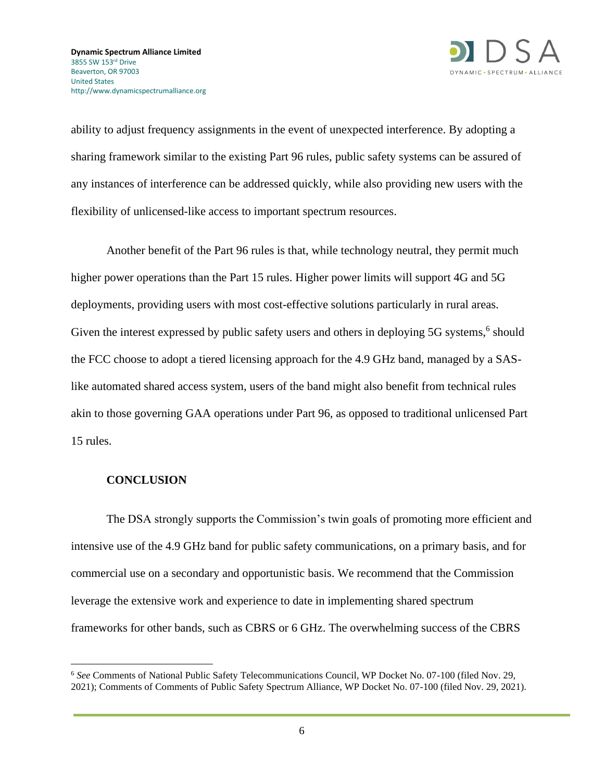

ability to adjust frequency assignments in the event of unexpected interference. By adopting a sharing framework similar to the existing Part 96 rules, public safety systems can be assured of any instances of interference can be addressed quickly, while also providing new users with the flexibility of unlicensed-like access to important spectrum resources.

Another benefit of the Part 96 rules is that, while technology neutral, they permit much higher power operations than the Part 15 rules. Higher power limits will support 4G and 5G deployments, providing users with most cost-effective solutions particularly in rural areas. Given the interest expressed by public safety users and others in deploying 5G systems,<sup>6</sup> should the FCC choose to adopt a tiered licensing approach for the 4.9 GHz band, managed by a SASlike automated shared access system, users of the band might also benefit from technical rules akin to those governing GAA operations under Part 96, as opposed to traditional unlicensed Part 15 rules.

#### **CONCLUSION**

The DSA strongly supports the Commission's twin goals of promoting more efficient and intensive use of the 4.9 GHz band for public safety communications, on a primary basis, and for commercial use on a secondary and opportunistic basis. We recommend that the Commission leverage the extensive work and experience to date in implementing shared spectrum frameworks for other bands, such as CBRS or 6 GHz. The overwhelming success of the CBRS

<sup>6</sup> *See* Comments of National Public Safety Telecommunications Council, WP Docket No. 07-100 (filed Nov. 29, 2021); Comments of Comments of Public Safety Spectrum Alliance, WP Docket No. 07-100 (filed Nov. 29, 2021).